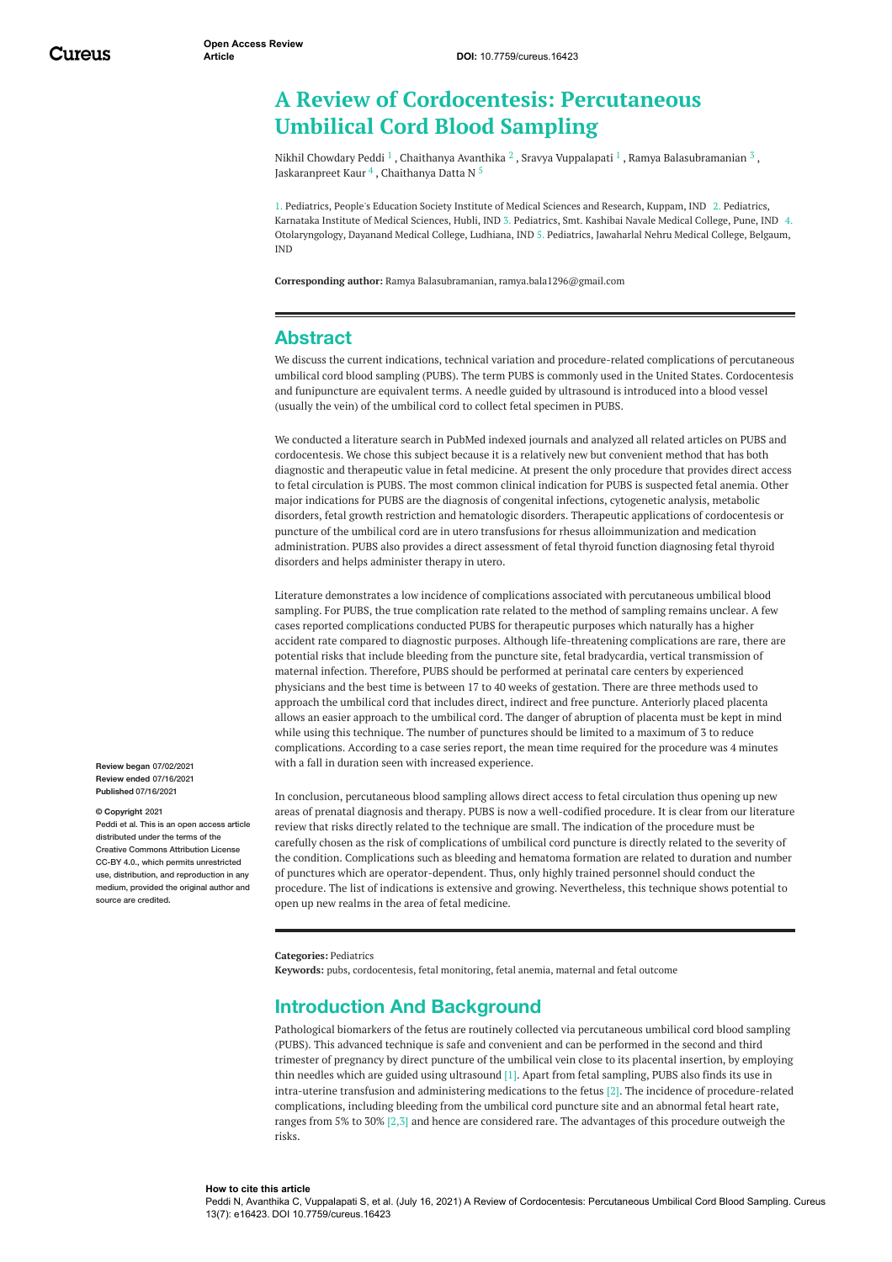# **A Review of Cordocentesis: Percutaneous Umbilical Cord Blood Sampling**

Nikhil [Chowdary](https://www.cureus.com/users/237145-nikhil-chowdary-peddi) Peddi  $^1$  , [Chaithanya](https://www.cureus.com/users/256319-chaithanya-avanthika) Avanthika  $^2$  , Sravya [Vuppalapati](https://www.cureus.com/users/242622-sravya-vuppalapati)  $^1$  , Ramya [Balasubramanian](https://www.cureus.com/users/256322-ramya-balasubramanian)  $^3$  , [Jaskaranpreet](https://www.cureus.com/users/252541-jaskaranpreet-kaur-) Kaur  $^4$  , [Chaithanya](https://www.cureus.com/users/256323-chaithanya-datta-n) Datta N  $^5$ 

1. Pediatrics, People's Education Society Institute of Medical Sciences and Research, Kuppam, IND 2. Pediatrics, Karnataka Institute of Medical Sciences, Hubli, IND 3. Pediatrics, Smt. Kashibai Navale Medical College, Pune, IND 4. Otolaryngology, Dayanand Medical College, Ludhiana, IND 5. Pediatrics, Jawaharlal Nehru Medical College, Belgaum, IND

**Corresponding author:** Ramya Balasubramanian, ramya.bala1296@gmail.com

## **Abstract**

We discuss the current indications, technical variation and procedure-related complications of percutaneous umbilical cord blood sampling (PUBS). The term PUBS is commonly used in the United States. Cordocentesis and funipuncture are equivalent terms. A needle guided by ultrasound is introduced into a blood vessel (usually the vein) of the umbilical cord to collect fetal specimen in PUBS.

We conducted a literature search in PubMed indexed journals and analyzed all related articles on PUBS and cordocentesis. We chose this subject because it is a relatively new but convenient method that has both diagnostic and therapeutic value in fetal medicine. At present the only procedure that provides direct access to fetal circulation is PUBS. The most common clinical indication for PUBS is suspected fetal anemia. Other major indications for PUBS are the diagnosis of congenital infections, cytogenetic analysis, metabolic disorders, fetal growth restriction and hematologic disorders. Therapeutic applications of cordocentesis or puncture of the umbilical cord are in utero transfusions for rhesus alloimmunization and medication administration. PUBS also provides a direct assessment of fetal thyroid function diagnosing fetal thyroid disorders and helps administer therapy in utero.

Literature demonstrates a low incidence of complications associated with percutaneous umbilical blood sampling. For PUBS, the true complication rate related to the method of sampling remains unclear. A few cases reported complications conducted PUBS for therapeutic purposes which naturally has a higher accident rate compared to diagnostic purposes. Although life-threatening complications are rare, there are potential risks that include bleeding from the puncture site, fetal bradycardia, vertical transmission of maternal infection. Therefore, PUBS should be performed at perinatal care centers by experienced physicians and the best time is between 17 to 40 weeks of gestation. There are three methods used to approach the umbilical cord that includes direct, indirect and free puncture. Anteriorly placed placenta allows an easier approach to the umbilical cord. The danger of abruption of placenta must be kept in mind while using this technique. The number of punctures should be limited to a maximum of 3 to reduce complications. According to a case series report, the mean time required for the procedure was 4 minutes with a fall in duration seen with increased experience.

In conclusion, percutaneous blood sampling allows direct access to fetal circulation thus opening up new areas of prenatal diagnosis and therapy. PUBS is now a well-codified procedure. It is clear from our literature review that risks directly related to the technique are small. The indication of the procedure must be carefully chosen as the risk of complications of umbilical cord puncture is directly related to the severity of the condition. Complications such as bleeding and hematoma formation are related to duration and number of punctures which are operator-dependent. Thus, only highly trained personnel should conduct the procedure. The list of indications is extensive and growing. Nevertheless, this technique shows potential to open up new realms in the area of fetal medicine.

**Categories:** Pediatrics

**Keywords:** pubs, cordocentesis, fetal monitoring, fetal anemia, maternal and fetal outcome

## **Introduction And Background**

Pathological biomarkers of the fetus are routinely collected via percutaneous umbilical cord blood sampling (PUBS). This advanced technique is safe and convenient and can be performed in the second and third trimester of pregnancy by direct puncture of the umbilical vein close to its placental insertion, by employing thin needles which are guided using ultrasound [1]. Apart from fetal sampling, PUBS also finds its use in intra-uterine transfusion and administering medications to the fetus [2]. The incidence of procedure-related complications, including bleeding from the umbilical cord puncture site and an abnormal fetal heart rate, ranges from 5% to 30% [2,3] and hence are considered rare. The advantages of this procedure outweigh the risks.

**Review began** 07/02/2021 **Review ended** 07/16/2021 **Published** 07/16/2021

#### **© Copyright** 2021

Peddi et al. This is an open access article distributed under the terms of the Creative Commons Attribution License CC-BY 4.0., which permits unrestricted use, distribution, and reproduction in any medium, provided the original author and source are credited

**How to cite this article**

Peddi N, Avanthika C, Vuppalapati S, et al. (July 16, 2021) A Review of Cordocentesis: Percutaneous Umbilical Cord Blood Sampling. Cureus 13(7): e16423. DOI 10.7759/cureus.16423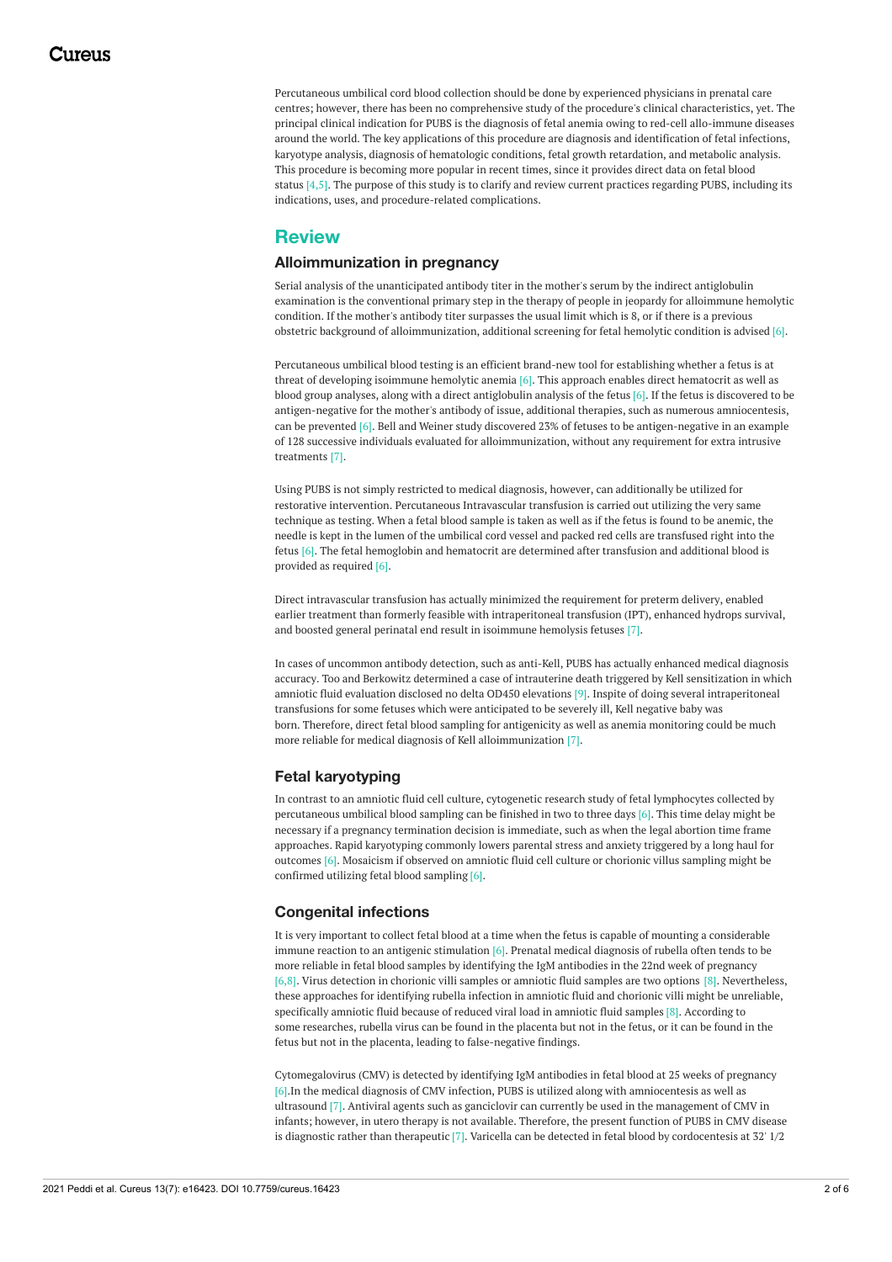Percutaneous umbilical cord blood collection should be done by experienced physicians in prenatal care centres; however, there has been no comprehensive study of the procedure's clinical characteristics, yet. The principal clinical indication for PUBS is the diagnosis of fetal anemia owing to red-cell allo-immune diseases around the world. The key applications of this procedure are diagnosis and identification of fetal infections, karyotype analysis, diagnosis of hematologic conditions, fetal growth retardation, and metabolic analysis. This procedure is becoming more popular in recent times, since it provides direct data on fetal blood status  $[4,5]$ . The purpose of this study is to clarify and review current practices regarding PUBS, including its indications, uses, and procedure-related complications.

## **Review**

#### **Alloimmunization in pregnancy**

Serial analysis of the unanticipated antibody titer in the mother's serum by the indirect antiglobulin examination is the conventional primary step in the therapy of people in jeopardy for alloimmune hemolytic condition. If the mother's antibody titer surpasses the usual limit which is 8, or if there is a previous obstetric background of alloimmunization, additional screening for fetal hemolytic condition is advised [6].

Percutaneous umbilical blood testing is an efficient brand-new tool for establishing whether a fetus is at threat of developing isoimmune hemolytic anemia [6]. This approach enables direct hematocrit as well as blood group analyses, along with a direct antiglobulin analysis of the fetus [6]. If the fetus is discovered to be antigen-negative for the mother's antibody of issue, additional therapies, such as numerous amniocentesis, can be prevented [6]. Bell and Weiner study discovered 23% of fetuses to be antigen-negative in an example of 128 successive individuals evaluated for alloimmunization, without any requirement for extra intrusive treatments [7].

Using PUBS is not simply restricted to medical diagnosis, however, can additionally be utilized for restorative intervention. Percutaneous Intravascular transfusion is carried out utilizing the very same technique as testing. When a fetal blood sample is taken as well as if the fetus is found to be anemic, the needle is kept in the lumen of the umbilical cord vessel and packed red cells are transfused right into the fetus [6]. The fetal hemoglobin and hematocrit are determined after transfusion and additional blood is provided as required [6].

Direct intravascular transfusion has actually minimized the requirement for preterm delivery, enabled earlier treatment than formerly feasible with intraperitoneal transfusion (IPT), enhanced hydrops survival, and boosted general perinatal end result in isoimmune hemolysis fetuses [7].

In cases of uncommon antibody detection, such as anti-Kell, PUBS has actually enhanced medical diagnosis accuracy. Too and Berkowitz determined a case of intrauterine death triggered by Kell sensitization in which amniotic fluid evaluation disclosed no delta OD450 elevations [9]. Inspite of doing several intraperitoneal transfusions for some fetuses which were anticipated to be severely ill, Kell negative baby was born. Therefore, direct fetal blood sampling for antigenicity as well as anemia monitoring could be much more reliable for medical diagnosis of Kell alloimmunization [7].

### **Fetal karyotyping**

In contrast to an amniotic fluid cell culture, cytogenetic research study of fetal lymphocytes collected by percutaneous umbilical blood sampling can be finished in two to three days [6]. This time delay might be necessary if a pregnancy termination decision is immediate, such as when the legal abortion time frame approaches. Rapid karyotyping commonly lowers parental stress and anxiety triggered by a long haul for outcomes [6]. Mosaicism if observed on amniotic fluid cell culture or chorionic villus sampling might be confirmed utilizing fetal blood sampling [6].

#### **Congenital infections**

It is very important to collect fetal blood at a time when the fetus is capable of mounting a considerable immune reaction to an antigenic stimulation [6]. Prenatal medical diagnosis of rubella often tends to be more reliable in fetal blood samples by identifying the IgM antibodies in the 22nd week of pregnancy [6,8]. Virus detection in chorionic villi samples or amniotic fluid samples are two options [8]. Nevertheless, these approaches for identifying rubella infection in amniotic fluid and chorionic villi might be unreliable, specifically amniotic fluid because of reduced viral load in amniotic fluid samples [8]. According to some researches, rubella virus can be found in the placenta but not in the fetus, or it can be found in the fetus but not in the placenta, leading to false-negative findings.

Cytomegalovirus (CMV) is detected by identifying IgM antibodies in fetal blood at 25 weeks of pregnancy [6].In the medical diagnosis of CMV infection, PUBS is utilized along with amniocentesis as well as ultrasound [7]. Antiviral agents such as ganciclovir can currently be used in the management of CMV in infants; however, in utero therapy is not available. Therefore, the present function of PUBS in CMV disease is diagnostic rather than therapeutic [7]. Varicella can be detected in fetal blood by cordocentesis at 32' 1/2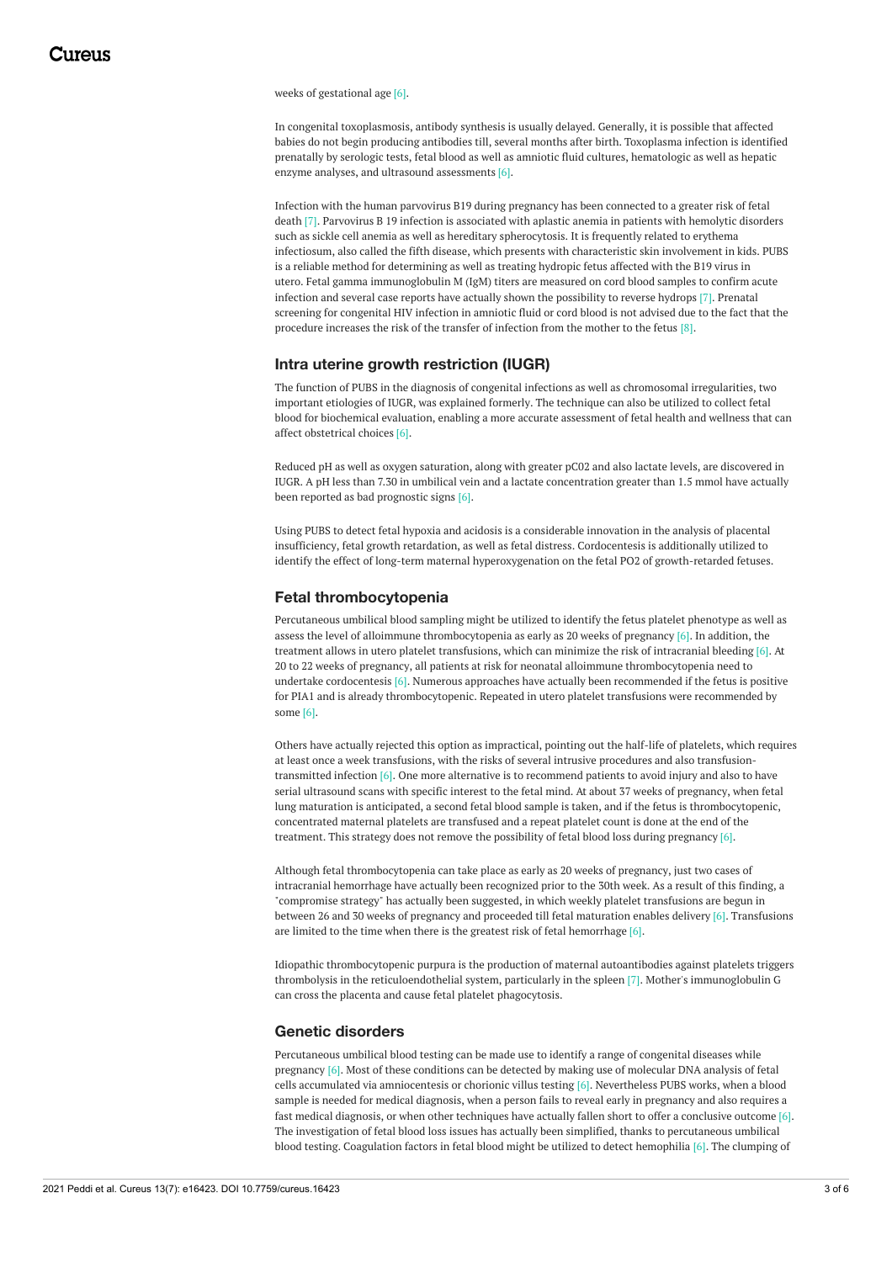weeks of gestational age [6].

In congenital toxoplasmosis, antibody synthesis is usually delayed. Generally, it is possible that affected babies do not begin producing antibodies till, several months after birth. Toxoplasma infection is identified prenatally by serologic tests, fetal blood as well as amniotic fluid cultures, hematologic as well as hepatic enzyme analyses, and ultrasound assessments [6].

Infection with the human parvovirus B19 during pregnancy has been connected to a greater risk of fetal death [7]. Parvovirus B 19 infection is associated with aplastic anemia in patients with hemolytic disorders such as sickle cell anemia as well as hereditary spherocytosis. It is frequently related to erythema infectiosum, also called the fifth disease, which presents with characteristic skin involvement in kids. PUBS is a reliable method for determining as well as treating hydropic fetus affected with the B19 virus in utero. Fetal gamma immunoglobulin M (IgM) titers are measured on cord blood samples to confirm acute infection and several case reports have actually shown the possibility to reverse hydrops [7]. Prenatal screening for congenital HIV infection in amniotic fluid or cord blood is not advised due to the fact that the procedure increases the risk of the transfer of infection from the mother to the fetus [8].

#### **Intra uterine growth restriction (IUGR)**

The function of PUBS in the diagnosis of congenital infections as well as chromosomal irregularities, two important etiologies of IUGR, was explained formerly. The technique can also be utilized to collect fetal blood for biochemical evaluation, enabling a more accurate assessment of fetal health and wellness that can affect obstetrical choices [6].

Reduced pH as well as oxygen saturation, along with greater pC02 and also lactate levels, are discovered in IUGR. A pH less than 7.30 in umbilical vein and a lactate concentration greater than 1.5 mmol have actually been reported as bad prognostic signs [6].

Using PUBS to detect fetal hypoxia and acidosis is a considerable innovation in the analysis of placental insufficiency, fetal growth retardation, as well as fetal distress. Cordocentesis is additionally utilized to identify the effect of long-term maternal hyperoxygenation on the fetal PO2 of growth-retarded fetuses.

#### **Fetal thrombocytopenia**

Percutaneous umbilical blood sampling might be utilized to identify the fetus platelet phenotype as well as assess the level of alloimmune thrombocytopenia as early as 20 weeks of pregnancy [6]. In addition, the treatment allows in utero platelet transfusions, which can minimize the risk of intracranial bleeding [6]. At 20 to 22 weeks of pregnancy, all patients at risk for neonatal alloimmune thrombocytopenia need to undertake cordocentesis  $[6]$ . Numerous approaches have actually been recommended if the fetus is positive for PIA1 and is already thrombocytopenic. Repeated in utero platelet transfusions were recommended by some [6].

Others have actually rejected this option as impractical, pointing out the half-life of platelets, which requires at least once a week transfusions, with the risks of several intrusive procedures and also transfusiontransmitted infection [6]. One more alternative is to recommend patients to avoid injury and also to have serial ultrasound scans with specific interest to the fetal mind. At about 37 weeks of pregnancy, when fetal lung maturation is anticipated, a second fetal blood sample is taken, and if the fetus is thrombocytopenic, concentrated maternal platelets are transfused and a repeat platelet count is done at the end of the treatment. This strategy does not remove the possibility of fetal blood loss during pregnancy [6].

Although fetal thrombocytopenia can take place as early as 20 weeks of pregnancy, just two cases of intracranial hemorrhage have actually been recognized prior to the 30th week. As a result of this finding, a "compromise strategy" has actually been suggested, in which weekly platelet transfusions are begun in between 26 and 30 weeks of pregnancy and proceeded till fetal maturation enables delivery [6]. Transfusions are limited to the time when there is the greatest risk of fetal hemorrhage [6].

Idiopathic thrombocytopenic purpura is the production of maternal autoantibodies against platelets triggers thrombolysis in the reticuloendothelial system, particularly in the spleen [7]. Mother's immunoglobulin G can cross the placenta and cause fetal platelet phagocytosis.

#### **Genetic disorders**

Percutaneous umbilical blood testing can be made use to identify a range of congenital diseases while pregnancy [6]. Most of these conditions can be detected by making use of molecular DNA analysis of fetal cells accumulated via amniocentesis or chorionic villus testing [6]. Nevertheless PUBS works, when a blood sample is needed for medical diagnosis, when a person fails to reveal early in pregnancy and also requires a fast medical diagnosis, or when other techniques have actually fallen short to offer a conclusive outcome [6]. The investigation of fetal blood loss issues has actually been simplified, thanks to percutaneous umbilical blood testing. Coagulation factors in fetal blood might be utilized to detect hemophilia [6]. The clumping of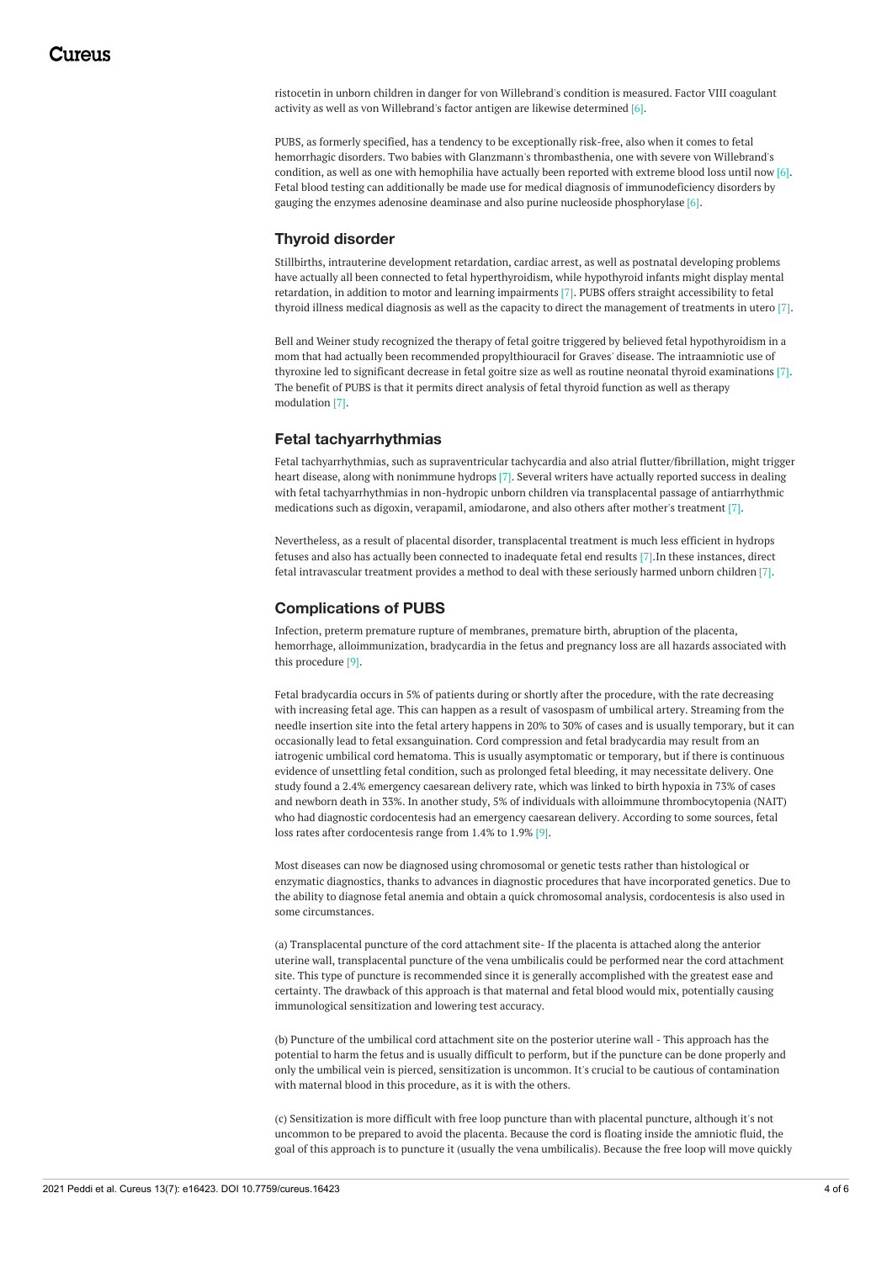ristocetin in unborn children in danger for von Willebrand's condition is measured. Factor VIII coagulant activity as well as von Willebrand's factor antigen are likewise determined [6].

PUBS, as formerly specified, has a tendency to be exceptionally risk-free, also when it comes to fetal hemorrhagic disorders. Two babies with Glanzmann's thrombasthenia, one with severe von Willebrand's condition, as well as one with hemophilia have actually been reported with extreme blood loss until now [6]. Fetal blood testing can additionally be made use for medical diagnosis of immunodeficiency disorders by gauging the enzymes adenosine deaminase and also purine nucleoside phosphorylase [6].

#### **Thyroid disorder**

Stillbirths, intrauterine development retardation, cardiac arrest, as well as postnatal developing problems have actually all been connected to fetal hyperthyroidism, while hypothyroid infants might display mental retardation, in addition to motor and learning impairments [7]. PUBS offers straight accessibility to fetal thyroid illness medical diagnosis as well as the capacity to direct the management of treatments in utero [7].

Bell and Weiner study recognized the therapy of fetal goitre triggered by believed fetal hypothyroidism in a mom that had actually been recommended propylthiouracil for Graves' disease. The intraamniotic use of thyroxine led to significant decrease in fetal goitre size as well as routine neonatal thyroid examinations [7]. The benefit of PUBS is that it permits direct analysis of fetal thyroid function as well as therapy modulation [7].

#### **Fetal tachyarrhythmias**

Fetal tachyarrhythmias, such as supraventricular tachycardia and also atrial flutter/fibrillation, might trigger heart disease, along with nonimmune hydrops [7]. Several writers have actually reported success in dealing with fetal tachyarrhythmias in non-hydropic unborn children via transplacental passage of antiarrhythmic medications such as digoxin, verapamil, amiodarone, and also others after mother's treatment [7].

Nevertheless, as a result of placental disorder, transplacental treatment is much less efficient in hydrops fetuses and also has actually been connected to inadequate fetal end results [7].In these instances, direct fetal intravascular treatment provides a method to deal with these seriously harmed unborn children [7].

#### **Complications of PUBS**

Infection, preterm premature rupture of membranes, premature birth, abruption of the placenta, hemorrhage, alloimmunization, bradycardia in the fetus and pregnancy loss are all hazards associated with this procedure [9].

Fetal bradycardia occurs in 5% of patients during or shortly after the procedure, with the rate decreasing with increasing fetal age. This can happen as a result of vasospasm of umbilical artery. Streaming from the needle insertion site into the fetal artery happens in 20% to 30% of cases and is usually temporary, but it can occasionally lead to fetal exsanguination. Cord compression and fetal bradycardia may result from an iatrogenic umbilical cord hematoma. This is usually asymptomatic or temporary, but if there is continuous evidence of unsettling fetal condition, such as prolonged fetal bleeding, it may necessitate delivery. One study found a 2.4% emergency caesarean delivery rate, which was linked to birth hypoxia in 73% of cases and newborn death in 33%. In another study, 5% of individuals with alloimmune thrombocytopenia (NAIT) who had diagnostic cordocentesis had an emergency caesarean delivery. According to some sources, fetal loss rates after cordocentesis range from 1.4% to 1.9% [9].

Most diseases can now be diagnosed using chromosomal or genetic tests rather than histological or enzymatic diagnostics, thanks to advances in diagnostic procedures that have incorporated genetics. Due to the ability to diagnose fetal anemia and obtain a quick chromosomal analysis, cordocentesis is also used in some circumstances.

(a) Transplacental puncture of the cord attachment site- If the placenta is attached along the anterior uterine wall, transplacental puncture of the vena umbilicalis could be performed near the cord attachment site. This type of puncture is recommended since it is generally accomplished with the greatest ease and certainty. The drawback of this approach is that maternal and fetal blood would mix, potentially causing immunological sensitization and lowering test accuracy.

(b) Puncture of the umbilical cord attachment site on the posterior uterine wall - This approach has the potential to harm the fetus and is usually difficult to perform, but if the puncture can be done properly and only the umbilical vein is pierced, sensitization is uncommon. It's crucial to be cautious of contamination with maternal blood in this procedure, as it is with the others.

(c) Sensitization is more difficult with free loop puncture than with placental puncture, although it's not uncommon to be prepared to avoid the placenta. Because the cord is floating inside the amniotic fluid, the goal of this approach is to puncture it (usually the vena umbilicalis). Because the free loop will move quickly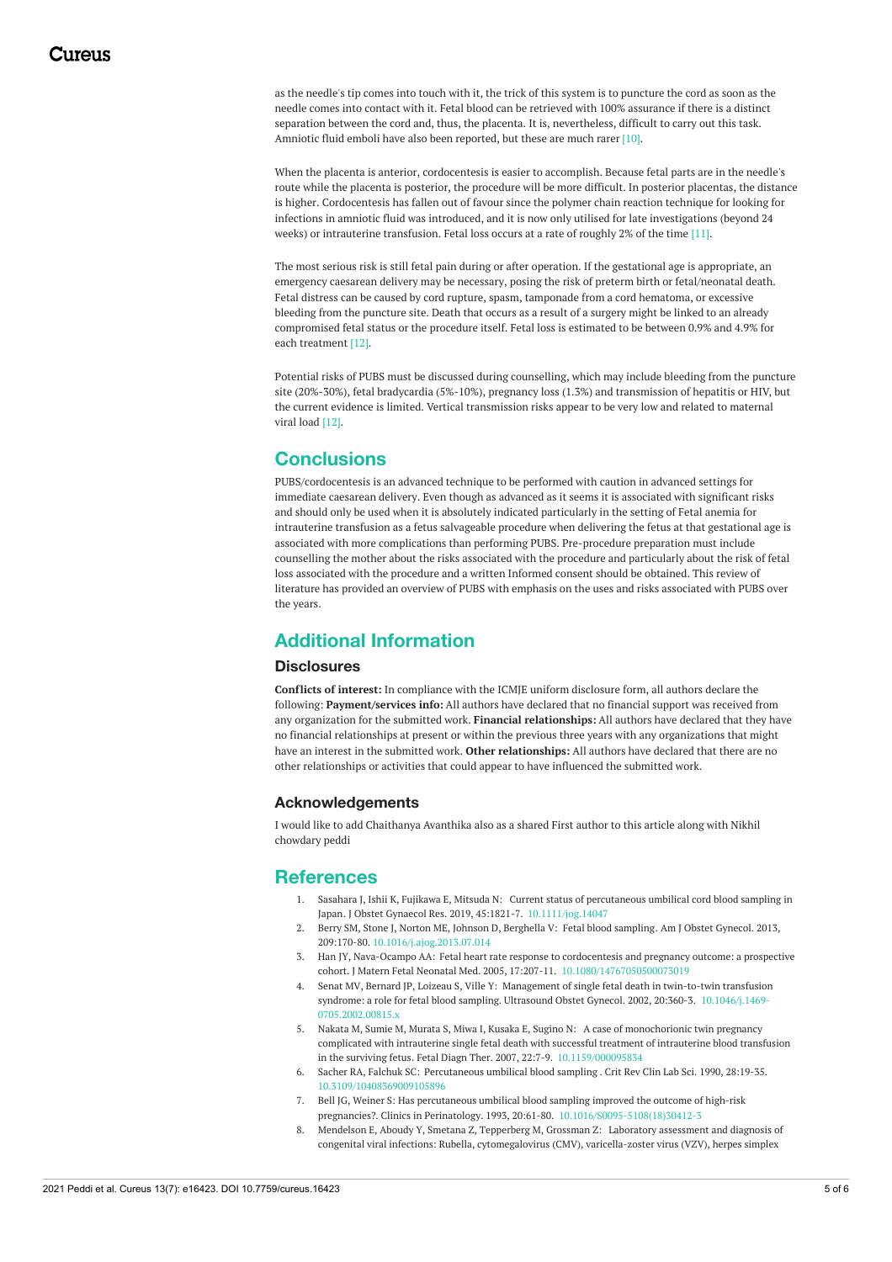as the needle's tip comes into touch with it, the trick of this system is to puncture the cord as soon as the needle comes into contact with it. Fetal blood can be retrieved with 100% assurance if there is a distinct separation between the cord and, thus, the placenta. It is, nevertheless, difficult to carry out this task. Amniotic fluid emboli have also been reported, but these are much rarer [10].

When the placenta is anterior, cordocentesis is easier to accomplish. Because fetal parts are in the needle's route while the placenta is posterior, the procedure will be more difficult. In posterior placentas, the distance is higher. Cordocentesis has fallen out of favour since the polymer chain reaction technique for looking for infections in amniotic fluid was introduced, and it is now only utilised for late investigations (beyond 24 weeks) or intrauterine transfusion. Fetal loss occurs at a rate of roughly 2% of the time [11].

The most serious risk is still fetal pain during or after operation. If the gestational age is appropriate, an emergency caesarean delivery may be necessary, posing the risk of preterm birth or fetal/neonatal death. Fetal distress can be caused by cord rupture, spasm, tamponade from a cord hematoma, or excessive bleeding from the puncture site. Death that occurs as a result of a surgery might be linked to an already compromised fetal status or the procedure itself. Fetal loss is estimated to be between 0.9% and 4.9% for each treatment [12].

Potential risks of PUBS must be discussed during counselling, which may include bleeding from the puncture site (20%-30%), fetal bradycardia (5%-10%), pregnancy loss (1.3%) and transmission of hepatitis or HIV, but the current evidence is limited. Vertical transmission risks appear to be very low and related to maternal viral load [12].

## **Conclusions**

PUBS/cordocentesis is an advanced technique to be performed with caution in advanced settings for immediate caesarean delivery. Even though as advanced as it seems it is associated with significant risks and should only be used when it is absolutely indicated particularly in the setting of Fetal anemia for intrauterine transfusion as a fetus salvageable procedure when delivering the fetus at that gestational age is associated with more complications than performing PUBS. Pre-procedure preparation must include counselling the mother about the risks associated with the procedure and particularly about the risk of fetal loss associated with the procedure and a written Informed consent should be obtained. This review of literature has provided an overview of PUBS with emphasis on the uses and risks associated with PUBS over the years.

## **Additional Information**

#### **Disclosures**

**Conflicts of interest:** In compliance with the ICMJE uniform disclosure form, all authors declare the following: **Payment/services info:** All authors have declared that no financial support was received from any organization for the submitted work. **Financial relationships:** All authors have declared that they have no financial relationships at present or within the previous three years with any organizations that might have an interest in the submitted work. **Other relationships:** All authors have declared that there are no other relationships or activities that could appear to have influenced the submitted work.

### **Acknowledgements**

I would like to add Chaithanya Avanthika also as a shared First author to this article along with Nikhil chowdary peddi

## **References**

- 1. Sasahara J, Ishii K, Fujikawa E, Mitsuda N: Current status of percutaneous umbilical cord blood sampling in Japan. J Obstet Gynaecol Res. 2019, 45:1821-7. [10.1111/jog.14047](https://dx.doi.org/10.1111/jog.14047)
- 2. Berry SM, Stone J, Norton ME, Johnson D, Berghella V: Fetal blood [sampling](https://dx.doi.org/10.1016/j.ajog.2013.07.014). Am J Obstet Gynecol. 2013, 209:170-80. [10.1016/j.ajog.2013.07.014](https://dx.doi.org/10.1016/j.ajog.2013.07.014)
- 3. Han JY, Nava-Ocampo AA: Fetal heart rate response to cordocentesis and pregnancy outcome: a prospective cohort. J Matern Fetal Neonatal Med. 2005, 17:207-11. [10.1080/14767050500073019](https://dx.doi.org/10.1080/14767050500073019)
- 4. Senat MV, Bernard JP, Loizeau S, Ville Y: Management of single fetal death in twin-to-twin transfusion syndrome: a role for fetal blood sampling. Ultrasound Obstet Gynecol. 2002, 20:360-3. [10.1046/j.1469-](https://dx.doi.org/10.1046/j.1469-0705.2002.00815.x) [0705.2002.00815.x](https://dx.doi.org/10.1046/j.1469-0705.2002.00815.x)
- 5. Nakata M, Sumie M, Murata S, Miwa I, Kusaka E, Sugino N: A case of monochorionic twin pregnancy complicated with intrauterine single fetal death with successful treatment of intrauterine blood transfusion in the surviving fetus. Fetal Diagn Ther. 2007, 22:7-9. [10.1159/000095834](https://dx.doi.org/10.1159/000095834)
- 6. Sacher RA, Falchuk SC: [Percutaneous](https://dx.doi.org/10.3109/10408369009105896) umbilical blood sampling . Crit Rev Clin Lab Sci. 1990, 28:19-35. [10.3109/10408369009105896](https://dx.doi.org/10.3109/10408369009105896)
- 7. Bell JG, Weiner S: Has percutaneous umbilical blood sampling improved the outcome of high-risk pregnancies?. Clinics in Perinatology. 1993, 20:61-80. [10.1016/S0095-5108\(18\)30412-3](https://dx.doi.org/10.1016/S0095-5108(18)30412-3)
- 8. Mendelson E, Aboudy Y, Smetana Z, Tepperberg M, Grossman Z: Laboratory assessment and diagnosis of congenital viral infections: Rubella, [cytomegalovirus](https://dx.doi.org/10.1016/j.reprotox.2006.02.001) (CMV), varicella-zoster virus (VZV), herpes simplex